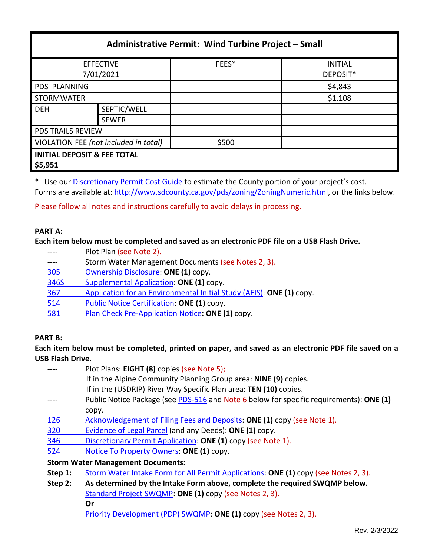| Administrative Permit: Wind Turbine Project - Small |                             |       |                            |  |  |
|-----------------------------------------------------|-----------------------------|-------|----------------------------|--|--|
| <b>EFFECTIVE</b><br>7/01/2021                       |                             | FEES* | <b>INITIAL</b><br>DEPOSIT* |  |  |
| <b>PDS PLANNING</b>                                 |                             |       | \$4,843                    |  |  |
| <b>STORMWATER</b>                                   |                             |       | \$1,108                    |  |  |
| <b>DEH</b>                                          | SEPTIC/WELL<br><b>SEWER</b> |       |                            |  |  |
| <b>PDS TRAILS REVIEW</b>                            |                             |       |                            |  |  |
| VIOLATION FEE (not included in total)               |                             | \$500 |                            |  |  |
| <b>INITIAL DEPOSIT &amp; FEE TOTAL</b><br>\$5,951   |                             |       |                            |  |  |

\* Use ou[r Discretionary Permit Cost Guide](http://www.sandiegocounty.gov/content/dam/sdc/pds/docs/Discretionary_Permit_Cost_Guide.xlsx) to estimate the County portion of your project's cost. Forms are available at[: http://www.sdcounty.ca.gov/pds/zoning/ZoningNumeric.html,](http://www.sdcounty.ca.gov/pds/zoning/ZoningNumeric.html) or the links below.

Please follow all notes and instructions carefully to avoid delays in processing.

#### **PART A:**

#### **Each item below must be completed and saved as an electronic PDF file on a USB Flash Drive.**

- ---- Plot Plan (see Note 2).
- ---- Storm Water Management Documents (see Notes 2, 3).
- 305 [Ownership Disclosure:](https://www.sandiegocounty.gov/content/dam/sdc/pds/zoning/formfields/PDS-PLN-305.pdf) **ONE (1)** copy.
- [346S Supplemental Application:](https://www.sandiegocounty.gov/content/dam/sdc/pds/zoning/formfields/PDS-PLN-346S.pdf) **ONE (1)** copy.
- 367 [Application for an Environmental Initial Study \(AEIS\):](https://www.sandiegocounty.gov/content/dam/sdc/pds/zoning/formfields/PDS-PLN-367.pdf) **ONE (1)** copy.
- [514 Public Notice Certification:](https://www.sandiegocounty.gov/content/dam/sdc/pds/zoning/formfields/PDS-PLN-514.pdf) **ONE (1)** copy.
- 581 [Plan Check Pre-Application Notice](https://www.sandiegocounty.gov/content/dam/sdc/pds/zoning/formfields/PDS-PLN-581.pdf)**: ONE (1)** copy.

#### **PART B:**

### **Each item below must be completed, printed on paper, and saved as an electronic PDF file saved on a USB Flash Drive.**

|     | Plot Plans: EIGHT (8) copies (see Note 5);                                              |
|-----|-----------------------------------------------------------------------------------------|
|     | If in the Alpine Community Planning Group area: NINE (9) copies.                        |
|     | If in the (USDRIP) River Way Specific Plan area: TEN (10) copies.                       |
|     | Public Notice Package (see PDS-516 and Note 6 below for specific requirements): ONE (1) |
|     | copy.                                                                                   |
| 126 | Acknowledgement of Filing Fees and Deposits: ONE (1) copy (see Note 1).                 |
| 320 | Evidence of Legal Parcel (and any Deeds): ONE (1) copy.                                 |
| 346 | Discretionary Permit Application: ONE (1) copy (see Note 1).                            |
| 524 | Notice To Property Owners: ONE (1) copy.                                                |

- **Step 1:** Storm Water [Intake Form for All Permit Applications:](http://www.sandiegocounty.gov/content/dam/sdc/pds/zoning/formfields/SWQMP-Intake-Form.pdf) **ONE (1)** copy (see Notes 2, 3).
- **Step 2: As determined by the Intake Form above, complete the required SWQMP below.** [Standard Project SWQMP:](http://www.sandiegocounty.gov/content/dam/sdc/pds/zoning/formfields/SWQMP-Standard.pdf) **ONE (1)** copy (see Notes 2, 3). **Or**

[Priority Development \(PDP\) SWQMP:](https://www.sandiegocounty.gov/content/sdc/dpw/watersheds/DevelopmentandConstruction/BMP_Design_Manual.html) **ONE (1)** copy (see Notes 2, 3).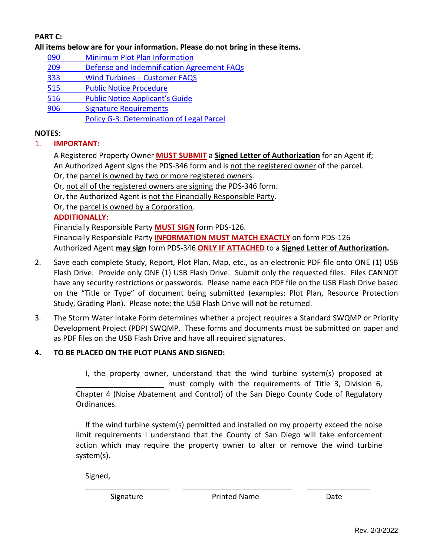## **PART C:**

**All items below are for your information. Please do not bring in these items.**

- 090 [Minimum Plot Plan Information](http://www.sdcounty.ca.gov/pds/docs/pds090.pdf)
- 209 [Defense and Indemnification Agreement FAQs](https://www.sandiegocounty.gov/content/dam/sdc/pds/zoning/formfields/PDS-PLN-209.pdf)
- 333 [Wind Turbines –](https://www.sandiegocounty.gov/content/dam/sdc/pds/zoning/formfields/PDS-PLN-333.pdf) Customer FAQS
- [515 Public Notice Procedure](https://www.sandiegocounty.gov/content/dam/sdc/pds/zoning/formfields/PDS-PLN-515.pdf)
- [516 Public Notice Applicant's Guide](https://www.sandiegocounty.gov/content/dam/sdc/pds/zoning/formfields/PDS-PLN-516.pdf)
- [906 Signature Requirements](https://www.sandiegocounty.gov/content/dam/sdc/pds/zoning/formfields/PDS-PLN-906.pdf)

[Policy G-3: Determination of Legal Parcel](http://www.sdcounty.ca.gov/pds/zoning/formfields/POLICY-G-3.pdf)

### **NOTES:**

1. **IMPORTANT:** 

A Registered Property Owner **MUST SUBMIT** a **Signed Letter of Authorization** for an Agent if; An Authorized Agent signs the PDS-346 form and is not the registered owner of the parcel.

Or, the parcel is owned by two or more registered owners.

Or, not all of the registered owners are signing the PDS-346 form.

Or, the Authorized Agent is not the Financially Responsible Party.

Or, the parcel is owned by a Corporation.

## **ADDITIONALLY:**

Financially Responsible Party **MUST SIGN** form PDS-126. Financially Responsible Party **INFORMATION MUST MATCH EXACTLY** on form PDS-126 Authorized Agent **may sign** form PDS-346 **ONLY IF ATTACHED** to a **Signed Letter of Authorization.**

- 2. Save each complete Study, Report, Plot Plan, Map, etc., as an electronic PDF file onto ONE (1) USB Flash Drive. Provide only ONE (1) USB Flash Drive. Submit only the requested files. Files CANNOT have any security restrictions or passwords. Please name each PDF file on the USB Flash Drive based on the "Title or Type" of document being submitted (examples: Plot Plan, Resource Protection Study, Grading Plan). Please note: the USB Flash Drive will not be returned.
- 3. The Storm Water Intake Form determines whether a project requires a Standard SWQMP or Priority Development Project (PDP) SWQMP. These forms and documents must be submitted on paper and as PDF files on the USB Flash Drive and have all required signatures.

# **4. TO BE PLACED ON THE PLOT PLANS AND SIGNED:**

I, the property owner, understand that the wind turbine system(s) proposed at must comply with the requirements of Title 3, Division 6, Chapter 4 (Noise Abatement and Control) of the San Diego County Code of Regulatory Ordinances.

If the wind turbine system(s) permitted and installed on my property exceed the noise limit requirements I understand that the County of San Diego will take enforcement action which may require the property owner to alter or remove the wind turbine system(s).

Signed,

\_\_\_\_\_\_\_\_\_\_\_\_\_\_\_\_\_\_\_\_ \_\_\_\_\_\_\_\_\_\_\_\_\_\_\_\_\_\_\_\_\_\_\_\_\_\_ \_\_\_\_\_\_\_\_\_\_\_\_\_\_\_